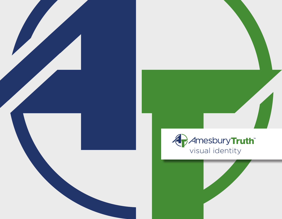



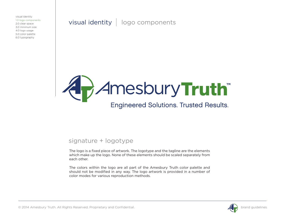visual identity | logo components



#### signature + logotype

The logo is a fixed piece of artwork. The logotype and the tagline are the elements which make up the logo. None of these elements should be scaled separately from each other.

The colors within the logo are all part of the Amesbury Truth color palette and should not be modified in any way. The logo artwork is provided in a number of color modes for various reproduction methods.

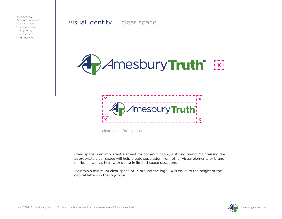visual identity | clear space





clear space for signature

Clear space is an important element for communicating a strong brand. Maintaining the appropriate clear space will help create separation from other visual elements or brand marks, as well as help with sizing in limited space situations.

Maintain a minimum clear space of 1X around the logo. 1X is equal to the height of the capital letters in the logotype.

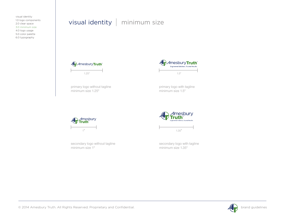## visual identity | minimum size



primary logo without tagline minimum size 1.25"



primary logo with tagline minimum size 1.5"



secondary logo without tagline minimum size 1"



secondary logo with tagline minimum size 1.35"

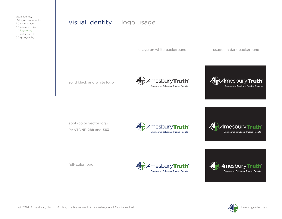### visual identity | logo usage

usage on white background usage on dark background

solid black and white logo





spot-color vector logo PANTONE **288** and **363**





full-color logo





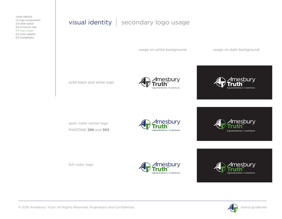## $visual identity$  secondary logo usage

usage on white background usage on dark background

solid black and white logo





spot-color vector logo PANTONE **288** and **363**



esburv red Solutions. Trusted Results

full-color logo





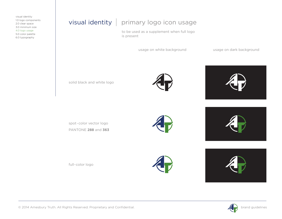## $visual identity$  primary logo icon usage

to be used as a supplement when full logo is present

usage on white background

usage on dark background

solid black and white logo

spot-color vector logo PANTONE **288** and **363**

full-color logo











© 2014 Amesbury Truth. All Rights Reserved. Proprietary and Confidential. **by a struck of the confidential** and guidelines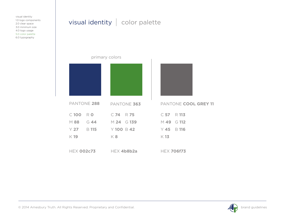# visual identity  $\vert$  color palette